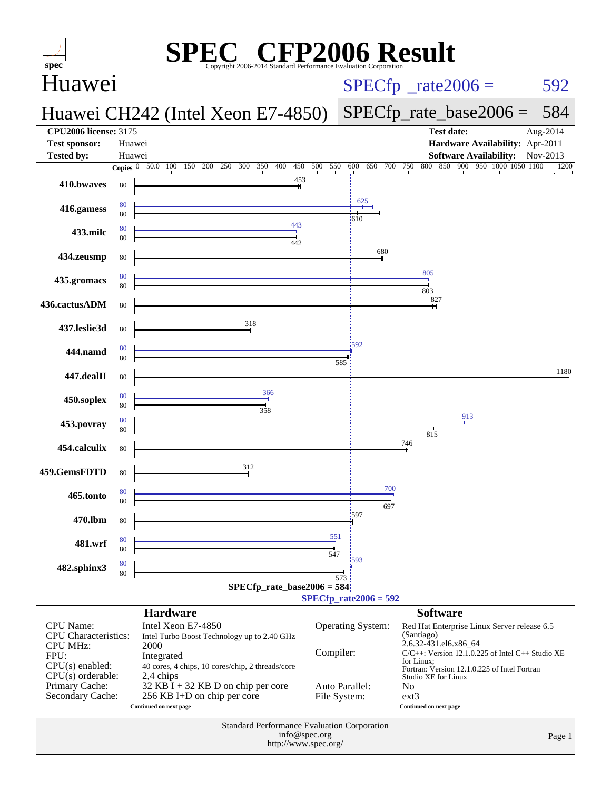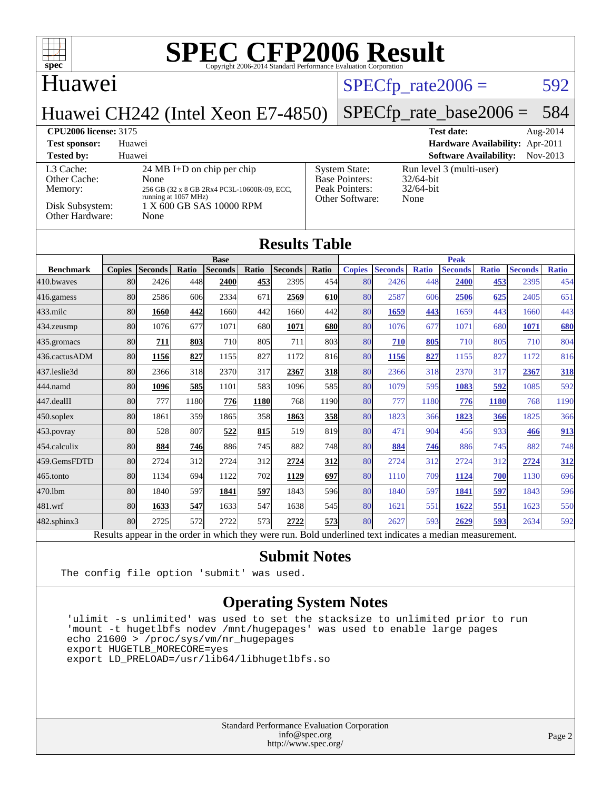| SPECCEP2006 Evaluation Corporation<br>$spec^*$                                                                                                                                                                              |                  |                |       |                               |       |                                                                                                                                                  |                      |               |                           |              |                                                                                       |              |                |                      |
|-----------------------------------------------------------------------------------------------------------------------------------------------------------------------------------------------------------------------------|------------------|----------------|-------|-------------------------------|-------|--------------------------------------------------------------------------------------------------------------------------------------------------|----------------------|---------------|---------------------------|--------------|---------------------------------------------------------------------------------------|--------------|----------------|----------------------|
| Huawei                                                                                                                                                                                                                      |                  |                |       |                               |       |                                                                                                                                                  | $SPECfp\_rate2006 =$ |               |                           |              |                                                                                       | 592          |                |                      |
| Huawei CH242 (Intel Xeon E7-4850)                                                                                                                                                                                           |                  |                |       |                               |       |                                                                                                                                                  |                      |               | $SPECfp_rate\_base2006 =$ |              |                                                                                       |              |                | 584                  |
| <b>CPU2006 license: 3175</b><br><b>Test sponsor:</b><br><b>Tested by:</b>                                                                                                                                                   | Huawei<br>Huawei |                |       |                               |       |                                                                                                                                                  |                      |               |                           |              | <b>Test date:</b><br>Hardware Availability: Apr-2011<br><b>Software Availability:</b> |              |                | Aug-2014<br>Nov-2013 |
| L3 Cache:<br>24 MB I+D on chip per chip<br>Other Cache:<br>None<br>Memory:<br>256 GB (32 x 8 GB 2Rx4 PC3L-10600R-09, ECC,<br>running at 1067 MHz)<br>Disk Subsystem:<br>1 X 600 GB SAS 10000 RPM<br>Other Hardware:<br>None |                  |                |       |                               |       | Run level 3 (multi-user)<br><b>System State:</b><br><b>Base Pointers:</b><br>32/64-bit<br>Peak Pointers:<br>32/64-bit<br>Other Software:<br>None |                      |               |                           |              |                                                                                       |              |                |                      |
|                                                                                                                                                                                                                             |                  |                |       |                               |       | <b>Results Table</b>                                                                                                                             |                      |               |                           |              |                                                                                       |              |                |                      |
| <b>Benchmark</b>                                                                                                                                                                                                            | <b>Copies</b>    | <b>Seconds</b> | Ratio | <b>Base</b><br><b>Seconds</b> | Ratio | <b>Seconds</b>                                                                                                                                   | Ratio                | <b>Copies</b> | <b>Seconds</b>            | <b>Ratio</b> | <b>Peak</b><br><b>Seconds</b>                                                         | <b>Ratio</b> | <b>Seconds</b> | <b>Ratio</b>         |
| 410.bwayes                                                                                                                                                                                                                  | 80               | 2426           | 448   | 2400                          | 453   | 2395                                                                                                                                             | 454                  | 80            | 2426                      | 448          | 2400                                                                                  | 453          | 2395           | 454                  |
| 416.gamess                                                                                                                                                                                                                  | 80               | 2586           | 606   | 2334                          | 671   | 2569                                                                                                                                             | 610                  | 80            | 2587                      | 606          | 2506                                                                                  | 625          | 2405           | 651                  |
| 433.milc                                                                                                                                                                                                                    | 80               | 1660           | 442   | 1660                          | 442   | 1660                                                                                                                                             | 442                  | 80            | 1659                      | 443          | 1659                                                                                  | 443          | 1660           | 443                  |
| 434.zeusmp                                                                                                                                                                                                                  | 80               | 1076           | 677   | 1071                          | 680   | 1071                                                                                                                                             | 680                  | 80            | 1076                      | 677          | 1071                                                                                  | 680          | 1071           | 680                  |
| 435.gromacs                                                                                                                                                                                                                 | 80               | 711            | 803   | 710                           | 805   | 711                                                                                                                                              | 803                  | 80            | 710                       | 805          | 710                                                                                   | 805          | 710            | 804                  |
| 436.cactusADM                                                                                                                                                                                                               | 80               | 1156           | 827   | 1155                          | 827   | 1172                                                                                                                                             | 816                  | 80            | 1156                      | 827          | 1155                                                                                  | 827          | 1172           | 816                  |
| 437.leslie3d                                                                                                                                                                                                                | 80               | 2366           | 318   | 2370                          | 317   | 2367                                                                                                                                             | 318                  | 80            | 2366                      | 318          | 2370                                                                                  | 317          | 2367           | 318                  |
| 444.namd                                                                                                                                                                                                                    | 80               | 1096           | 585   | 1101                          | 583   | 1096                                                                                                                                             | 585                  | 80            | 1079                      | 595          | 1083                                                                                  | 592          | 1085           | 592                  |
| 447.dealII                                                                                                                                                                                                                  | 80               | 777            | 1180  | 776                           | 1180  | 768                                                                                                                                              | 1190                 | 80            | 777                       | 1180         | 776                                                                                   | 1180         | 768            | 1190                 |
| 450.soplex                                                                                                                                                                                                                  | 80               | 1861           | 359   | 1865                          | 358   | 1863                                                                                                                                             | 358                  | 80            | 1823                      | 366          | 1823                                                                                  | 366          | 1825           | 366                  |
| 453.povray                                                                                                                                                                                                                  | 80               | 528            | 807   | 522                           | 815   | 519                                                                                                                                              | 819                  | 80            | 471                       | 904          | 456                                                                                   | 933          | 466            | 913                  |
| 454.calculix                                                                                                                                                                                                                | 80               | 884            | 746   | 886                           | 745   | 882                                                                                                                                              | 748                  | 80            | 884                       | 746          | 886                                                                                   | 745          | 882            | 748                  |
| 459.GemsFDTD                                                                                                                                                                                                                | 80               | 2724           | 312   | 2724                          | 312   | 2724                                                                                                                                             | 312                  | 80            | 2724                      | 312          | 2724                                                                                  | 312          | 2724           | <u>312</u>           |
| 465.tonto                                                                                                                                                                                                                   | 80               | 1134           | 694   | 1122                          | 702   | 1129                                                                                                                                             | 697                  | 80            | 1110                      | 709          | 1124                                                                                  | 700          | 1130           | 696                  |
| 470.1bm                                                                                                                                                                                                                     | 80               | 1840           | 597   | 1841                          | 597   | 1843                                                                                                                                             | 596                  | 80            | 1840                      | 597          | 1841                                                                                  | 597          | 1843           | 596                  |
| 481.wrf                                                                                                                                                                                                                     | 80               | 1633           | 547   | 1633                          | 547   | 1638                                                                                                                                             | 545                  | 80            | 1621                      | 551          | 1622                                                                                  | 551          | 1623           | 550                  |

[482.sphinx3](http://www.spec.org/auto/cpu2006/Docs/482.sphinx3.html) 80 2725 572 2722 573 **[2722](http://www.spec.org/auto/cpu2006/Docs/result-fields.html#Median) [573](http://www.spec.org/auto/cpu2006/Docs/result-fields.html#Median)** 80 2627 593 **[2629](http://www.spec.org/auto/cpu2006/Docs/result-fields.html#Median) [593](http://www.spec.org/auto/cpu2006/Docs/result-fields.html#Median)** 2634 592 Results appear in the [order in which they were run.](http://www.spec.org/auto/cpu2006/Docs/result-fields.html#RunOrder) Bold underlined text [indicates a median measurement.](http://www.spec.org/auto/cpu2006/Docs/result-fields.html#Median)

#### **[Submit Notes](http://www.spec.org/auto/cpu2006/Docs/result-fields.html#SubmitNotes)**

The config file option 'submit' was used.

### **[Operating System Notes](http://www.spec.org/auto/cpu2006/Docs/result-fields.html#OperatingSystemNotes)**

 'ulimit -s unlimited' was used to set the stacksize to unlimited prior to run 'mount -t hugetlbfs nodev /mnt/hugepages' was used to enable large pages echo 21600 > /proc/sys/vm/nr\_hugepages export HUGETLB\_MORECORE=yes export LD\_PRELOAD=/usr/lib64/libhugetlbfs.so

> Standard Performance Evaluation Corporation [info@spec.org](mailto:info@spec.org) <http://www.spec.org/>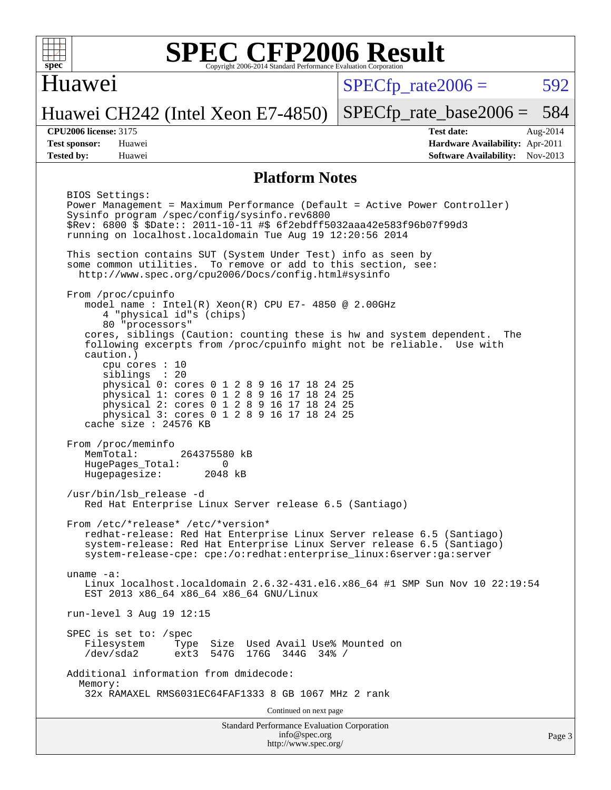

### Huawei

 $SPECTp\_rate2006 = 592$ 

[SPECfp\\_rate\\_base2006 =](http://www.spec.org/auto/cpu2006/Docs/result-fields.html#SPECfpratebase2006) 584

### Huawei CH242 (Intel Xeon E7-4850)

**[Tested by:](http://www.spec.org/auto/cpu2006/Docs/result-fields.html#Testedby)** Huawei **[Software Availability:](http://www.spec.org/auto/cpu2006/Docs/result-fields.html#SoftwareAvailability)** Nov-2013

**[CPU2006 license:](http://www.spec.org/auto/cpu2006/Docs/result-fields.html#CPU2006license)** 3175 **[Test date:](http://www.spec.org/auto/cpu2006/Docs/result-fields.html#Testdate)** Aug-2014 **[Test sponsor:](http://www.spec.org/auto/cpu2006/Docs/result-fields.html#Testsponsor)** Huawei **[Hardware Availability:](http://www.spec.org/auto/cpu2006/Docs/result-fields.html#HardwareAvailability)** Apr-2011

#### **[Platform Notes](http://www.spec.org/auto/cpu2006/Docs/result-fields.html#PlatformNotes)**

Standard Performance Evaluation Corporation [info@spec.org](mailto:info@spec.org) <http://www.spec.org/> BIOS Settings: Power Management = Maximum Performance (Default = Active Power Controller) Sysinfo program /spec/config/sysinfo.rev6800 \$Rev: 6800 \$ \$Date:: 2011-10-11 #\$ 6f2ebdff5032aaa42e583f96b07f99d3 running on localhost.localdomain Tue Aug 19 12:20:56 2014 This section contains SUT (System Under Test) info as seen by some common utilities. To remove or add to this section, see: <http://www.spec.org/cpu2006/Docs/config.html#sysinfo> From /proc/cpuinfo model name : Intel(R) Xeon(R) CPU E7- 4850 @ 2.00GHz 4 "physical id"s (chips) 80 "processors" cores, siblings (Caution: counting these is hw and system dependent. The following excerpts from /proc/cpuinfo might not be reliable. Use with caution.) cpu cores : 10 siblings : 20 physical 0: cores 0 1 2 8 9 16 17 18 24 25 physical 1: cores 0 1 2 8 9 16 17 18 24 25 physical 2: cores 0 1 2 8 9 16 17 18 24 25 physical 3: cores 0 1 2 8 9 16 17 18 24 25 cache size : 24576 KB From /proc/meminfo MemTotal: 264375580 kB HugePages\_Total: 0<br>Hugepagesize: 2048 kB Hugepagesize: /usr/bin/lsb\_release -d Red Hat Enterprise Linux Server release 6.5 (Santiago) From /etc/\*release\* /etc/\*version\* redhat-release: Red Hat Enterprise Linux Server release 6.5 (Santiago) system-release: Red Hat Enterprise Linux Server release 6.5 (Santiago) system-release-cpe: cpe:/o:redhat:enterprise\_linux:6server:ga:server uname -a: Linux localhost.localdomain 2.6.32-431.el6.x86\_64 #1 SMP Sun Nov 10 22:19:54 EST 2013 x86 64 x86 64 x86 64 GNU/Linux run-level 3 Aug 19 12:15 SPEC is set to: /spec Filesystem Type Size Used Avail Use% Mounted on<br>
/dev/sda2 ext3 547G 176G 344G 34% / /dev/sda2 ext3 547G 176G 344G 34% / Additional information from dmidecode: Memory: 32x RAMAXEL RMS6031EC64FAF1333 8 GB 1067 MHz 2 rank Continued on next page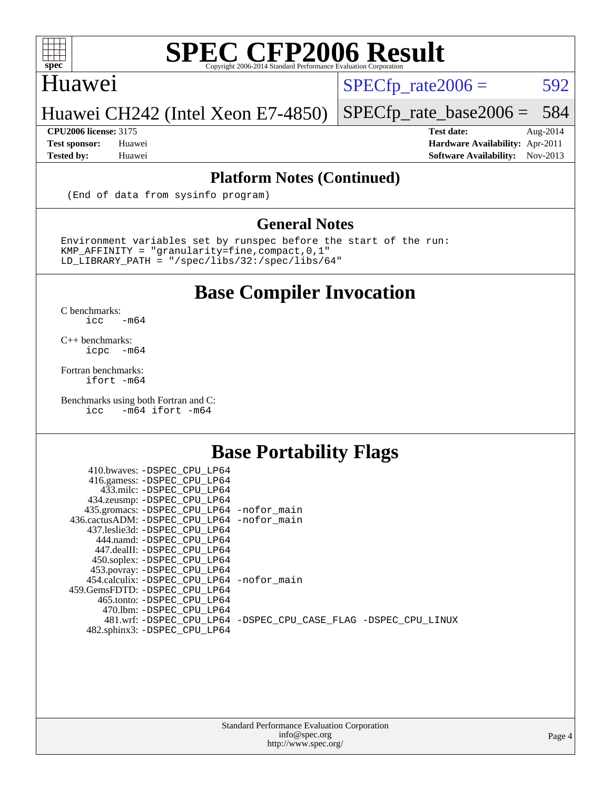

### Huawei

 $SPECTp_rate2006 = 592$ 

### Huawei CH242 (Intel Xeon E7-4850)

**[Tested by:](http://www.spec.org/auto/cpu2006/Docs/result-fields.html#Testedby)** Huawei **[Software Availability:](http://www.spec.org/auto/cpu2006/Docs/result-fields.html#SoftwareAvailability)** Nov-2013

[SPECfp\\_rate\\_base2006 =](http://www.spec.org/auto/cpu2006/Docs/result-fields.html#SPECfpratebase2006) 584 **[CPU2006 license:](http://www.spec.org/auto/cpu2006/Docs/result-fields.html#CPU2006license)** 3175 **[Test date:](http://www.spec.org/auto/cpu2006/Docs/result-fields.html#Testdate)** Aug-2014 **[Test sponsor:](http://www.spec.org/auto/cpu2006/Docs/result-fields.html#Testsponsor)** Huawei **[Hardware Availability:](http://www.spec.org/auto/cpu2006/Docs/result-fields.html#HardwareAvailability)** Apr-2011

**[Platform Notes \(Continued\)](http://www.spec.org/auto/cpu2006/Docs/result-fields.html#PlatformNotes)**

(End of data from sysinfo program)

#### **[General Notes](http://www.spec.org/auto/cpu2006/Docs/result-fields.html#GeneralNotes)**

Environment variables set by runspec before the start of the run:  $KMP_A$ FFINITY = "granularity=fine, compact, 0, 1" LD\_LIBRARY\_PATH = "/spec/libs/32:/spec/libs/64"

### **[Base Compiler Invocation](http://www.spec.org/auto/cpu2006/Docs/result-fields.html#BaseCompilerInvocation)**

[C benchmarks](http://www.spec.org/auto/cpu2006/Docs/result-fields.html#Cbenchmarks):  $\text{icc}$   $-\text{m64}$ 

[C++ benchmarks:](http://www.spec.org/auto/cpu2006/Docs/result-fields.html#CXXbenchmarks) [icpc -m64](http://www.spec.org/cpu2006/results/res2014q3/cpu2006-20140903-31176.flags.html#user_CXXbase_intel_icpc_64bit_bedb90c1146cab66620883ef4f41a67e)

[Fortran benchmarks](http://www.spec.org/auto/cpu2006/Docs/result-fields.html#Fortranbenchmarks): [ifort -m64](http://www.spec.org/cpu2006/results/res2014q3/cpu2006-20140903-31176.flags.html#user_FCbase_intel_ifort_64bit_ee9d0fb25645d0210d97eb0527dcc06e)

[Benchmarks using both Fortran and C](http://www.spec.org/auto/cpu2006/Docs/result-fields.html#BenchmarksusingbothFortranandC):<br>icc -m64 ifort -m64  $-m64$  ifort  $-m64$ 

### **[Base Portability Flags](http://www.spec.org/auto/cpu2006/Docs/result-fields.html#BasePortabilityFlags)**

| 410.bwaves: -DSPEC CPU LP64                 |                                                                |
|---------------------------------------------|----------------------------------------------------------------|
| 416.gamess: -DSPEC_CPU_LP64                 |                                                                |
| 433.milc: -DSPEC CPU LP64                   |                                                                |
| 434.zeusmp: -DSPEC_CPU_LP64                 |                                                                |
| 435.gromacs: -DSPEC_CPU_LP64 -nofor_main    |                                                                |
| 436.cactusADM: -DSPEC CPU LP64 -nofor main  |                                                                |
| 437.leslie3d: -DSPEC CPU LP64               |                                                                |
| 444.namd: -DSPEC CPU LP64                   |                                                                |
| 447.dealII: -DSPEC CPU LP64                 |                                                                |
| 450.soplex: -DSPEC_CPU_LP64                 |                                                                |
| 453.povray: -DSPEC_CPU_LP64                 |                                                                |
| 454.calculix: - DSPEC CPU LP64 - nofor main |                                                                |
| 459. GemsFDTD: - DSPEC CPU LP64             |                                                                |
| 465.tonto: -DSPEC CPU LP64                  |                                                                |
| 470.1bm: - DSPEC CPU LP64                   |                                                                |
|                                             | 481.wrf: -DSPEC_CPU_LP64 -DSPEC_CPU_CASE_FLAG -DSPEC_CPU_LINUX |
| 482.sphinx3: -DSPEC_CPU_LP64                |                                                                |

Page 4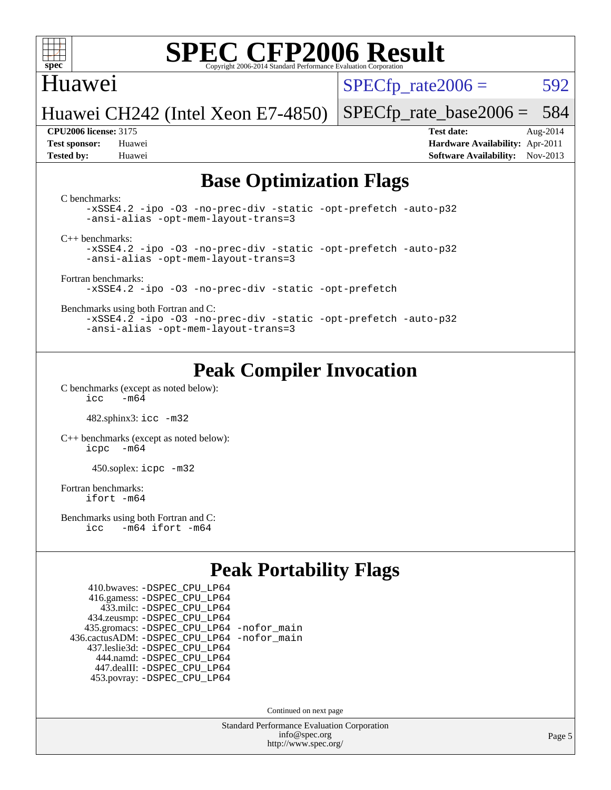

### Huawei

 $SPECTp\_rate2006 = 592$ 

Huawei CH242 (Intel Xeon E7-4850)

**[Test sponsor:](http://www.spec.org/auto/cpu2006/Docs/result-fields.html#Testsponsor)** Huawei **[Hardware Availability:](http://www.spec.org/auto/cpu2006/Docs/result-fields.html#HardwareAvailability)** Apr-2011 **[Tested by:](http://www.spec.org/auto/cpu2006/Docs/result-fields.html#Testedby)** Huawei **[Software Availability:](http://www.spec.org/auto/cpu2006/Docs/result-fields.html#SoftwareAvailability)** Nov-2013

[SPECfp\\_rate\\_base2006 =](http://www.spec.org/auto/cpu2006/Docs/result-fields.html#SPECfpratebase2006) 584 **[CPU2006 license:](http://www.spec.org/auto/cpu2006/Docs/result-fields.html#CPU2006license)** 3175 **[Test date:](http://www.spec.org/auto/cpu2006/Docs/result-fields.html#Testdate)** Aug-2014

### **[Base Optimization Flags](http://www.spec.org/auto/cpu2006/Docs/result-fields.html#BaseOptimizationFlags)**

[C benchmarks](http://www.spec.org/auto/cpu2006/Docs/result-fields.html#Cbenchmarks):

[-xSSE4.2](http://www.spec.org/cpu2006/results/res2014q3/cpu2006-20140903-31176.flags.html#user_CCbase_f-xSSE42_f91528193cf0b216347adb8b939d4107) [-ipo](http://www.spec.org/cpu2006/results/res2014q3/cpu2006-20140903-31176.flags.html#user_CCbase_f-ipo) [-O3](http://www.spec.org/cpu2006/results/res2014q3/cpu2006-20140903-31176.flags.html#user_CCbase_f-O3) [-no-prec-div](http://www.spec.org/cpu2006/results/res2014q3/cpu2006-20140903-31176.flags.html#user_CCbase_f-no-prec-div) [-static](http://www.spec.org/cpu2006/results/res2014q3/cpu2006-20140903-31176.flags.html#user_CCbase_f-static) [-opt-prefetch](http://www.spec.org/cpu2006/results/res2014q3/cpu2006-20140903-31176.flags.html#user_CCbase_f-opt-prefetch) [-auto-p32](http://www.spec.org/cpu2006/results/res2014q3/cpu2006-20140903-31176.flags.html#user_CCbase_f-auto-p32) [-ansi-alias](http://www.spec.org/cpu2006/results/res2014q3/cpu2006-20140903-31176.flags.html#user_CCbase_f-ansi-alias) [-opt-mem-layout-trans=3](http://www.spec.org/cpu2006/results/res2014q3/cpu2006-20140903-31176.flags.html#user_CCbase_f-opt-mem-layout-trans_a7b82ad4bd7abf52556d4961a2ae94d5)

[C++ benchmarks:](http://www.spec.org/auto/cpu2006/Docs/result-fields.html#CXXbenchmarks)

[-xSSE4.2](http://www.spec.org/cpu2006/results/res2014q3/cpu2006-20140903-31176.flags.html#user_CXXbase_f-xSSE42_f91528193cf0b216347adb8b939d4107) [-ipo](http://www.spec.org/cpu2006/results/res2014q3/cpu2006-20140903-31176.flags.html#user_CXXbase_f-ipo) [-O3](http://www.spec.org/cpu2006/results/res2014q3/cpu2006-20140903-31176.flags.html#user_CXXbase_f-O3) [-no-prec-div](http://www.spec.org/cpu2006/results/res2014q3/cpu2006-20140903-31176.flags.html#user_CXXbase_f-no-prec-div) [-static](http://www.spec.org/cpu2006/results/res2014q3/cpu2006-20140903-31176.flags.html#user_CXXbase_f-static) [-opt-prefetch](http://www.spec.org/cpu2006/results/res2014q3/cpu2006-20140903-31176.flags.html#user_CXXbase_f-opt-prefetch) [-auto-p32](http://www.spec.org/cpu2006/results/res2014q3/cpu2006-20140903-31176.flags.html#user_CXXbase_f-auto-p32) [-ansi-alias](http://www.spec.org/cpu2006/results/res2014q3/cpu2006-20140903-31176.flags.html#user_CXXbase_f-ansi-alias) [-opt-mem-layout-trans=3](http://www.spec.org/cpu2006/results/res2014q3/cpu2006-20140903-31176.flags.html#user_CXXbase_f-opt-mem-layout-trans_a7b82ad4bd7abf52556d4961a2ae94d5)

[Fortran benchmarks](http://www.spec.org/auto/cpu2006/Docs/result-fields.html#Fortranbenchmarks):

[-xSSE4.2](http://www.spec.org/cpu2006/results/res2014q3/cpu2006-20140903-31176.flags.html#user_FCbase_f-xSSE42_f91528193cf0b216347adb8b939d4107) [-ipo](http://www.spec.org/cpu2006/results/res2014q3/cpu2006-20140903-31176.flags.html#user_FCbase_f-ipo) [-O3](http://www.spec.org/cpu2006/results/res2014q3/cpu2006-20140903-31176.flags.html#user_FCbase_f-O3) [-no-prec-div](http://www.spec.org/cpu2006/results/res2014q3/cpu2006-20140903-31176.flags.html#user_FCbase_f-no-prec-div) [-static](http://www.spec.org/cpu2006/results/res2014q3/cpu2006-20140903-31176.flags.html#user_FCbase_f-static) [-opt-prefetch](http://www.spec.org/cpu2006/results/res2014q3/cpu2006-20140903-31176.flags.html#user_FCbase_f-opt-prefetch)

[Benchmarks using both Fortran and C](http://www.spec.org/auto/cpu2006/Docs/result-fields.html#BenchmarksusingbothFortranandC):

[-xSSE4.2](http://www.spec.org/cpu2006/results/res2014q3/cpu2006-20140903-31176.flags.html#user_CC_FCbase_f-xSSE42_f91528193cf0b216347adb8b939d4107) [-ipo](http://www.spec.org/cpu2006/results/res2014q3/cpu2006-20140903-31176.flags.html#user_CC_FCbase_f-ipo) [-O3](http://www.spec.org/cpu2006/results/res2014q3/cpu2006-20140903-31176.flags.html#user_CC_FCbase_f-O3) [-no-prec-div](http://www.spec.org/cpu2006/results/res2014q3/cpu2006-20140903-31176.flags.html#user_CC_FCbase_f-no-prec-div) [-static](http://www.spec.org/cpu2006/results/res2014q3/cpu2006-20140903-31176.flags.html#user_CC_FCbase_f-static) [-opt-prefetch](http://www.spec.org/cpu2006/results/res2014q3/cpu2006-20140903-31176.flags.html#user_CC_FCbase_f-opt-prefetch) [-auto-p32](http://www.spec.org/cpu2006/results/res2014q3/cpu2006-20140903-31176.flags.html#user_CC_FCbase_f-auto-p32) [-ansi-alias](http://www.spec.org/cpu2006/results/res2014q3/cpu2006-20140903-31176.flags.html#user_CC_FCbase_f-ansi-alias) [-opt-mem-layout-trans=3](http://www.spec.org/cpu2006/results/res2014q3/cpu2006-20140903-31176.flags.html#user_CC_FCbase_f-opt-mem-layout-trans_a7b82ad4bd7abf52556d4961a2ae94d5)

### **[Peak Compiler Invocation](http://www.spec.org/auto/cpu2006/Docs/result-fields.html#PeakCompilerInvocation)**

[C benchmarks \(except as noted below\)](http://www.spec.org/auto/cpu2006/Docs/result-fields.html#Cbenchmarksexceptasnotedbelow):  $\text{icc}$  -m64

482.sphinx3: [icc -m32](http://www.spec.org/cpu2006/results/res2014q3/cpu2006-20140903-31176.flags.html#user_peakCCLD482_sphinx3_intel_icc_a6a621f8d50482236b970c6ac5f55f93)

[C++ benchmarks \(except as noted below\):](http://www.spec.org/auto/cpu2006/Docs/result-fields.html#CXXbenchmarksexceptasnotedbelow) [icpc -m64](http://www.spec.org/cpu2006/results/res2014q3/cpu2006-20140903-31176.flags.html#user_CXXpeak_intel_icpc_64bit_bedb90c1146cab66620883ef4f41a67e)

450.soplex: [icpc -m32](http://www.spec.org/cpu2006/results/res2014q3/cpu2006-20140903-31176.flags.html#user_peakCXXLD450_soplex_intel_icpc_4e5a5ef1a53fd332b3c49e69c3330699)

[Fortran benchmarks](http://www.spec.org/auto/cpu2006/Docs/result-fields.html#Fortranbenchmarks): [ifort -m64](http://www.spec.org/cpu2006/results/res2014q3/cpu2006-20140903-31176.flags.html#user_FCpeak_intel_ifort_64bit_ee9d0fb25645d0210d97eb0527dcc06e)

[Benchmarks using both Fortran and C](http://www.spec.org/auto/cpu2006/Docs/result-fields.html#BenchmarksusingbothFortranandC): [icc -m64](http://www.spec.org/cpu2006/results/res2014q3/cpu2006-20140903-31176.flags.html#user_CC_FCpeak_intel_icc_64bit_0b7121f5ab7cfabee23d88897260401c) [ifort -m64](http://www.spec.org/cpu2006/results/res2014q3/cpu2006-20140903-31176.flags.html#user_CC_FCpeak_intel_ifort_64bit_ee9d0fb25645d0210d97eb0527dcc06e)

### **[Peak Portability Flags](http://www.spec.org/auto/cpu2006/Docs/result-fields.html#PeakPortabilityFlags)**

 410.bwaves: [-DSPEC\\_CPU\\_LP64](http://www.spec.org/cpu2006/results/res2014q3/cpu2006-20140903-31176.flags.html#suite_peakPORTABILITY410_bwaves_DSPEC_CPU_LP64) 416.gamess: [-DSPEC\\_CPU\\_LP64](http://www.spec.org/cpu2006/results/res2014q3/cpu2006-20140903-31176.flags.html#suite_peakPORTABILITY416_gamess_DSPEC_CPU_LP64) 433.milc: [-DSPEC\\_CPU\\_LP64](http://www.spec.org/cpu2006/results/res2014q3/cpu2006-20140903-31176.flags.html#suite_peakPORTABILITY433_milc_DSPEC_CPU_LP64) 434.zeusmp: [-DSPEC\\_CPU\\_LP64](http://www.spec.org/cpu2006/results/res2014q3/cpu2006-20140903-31176.flags.html#suite_peakPORTABILITY434_zeusmp_DSPEC_CPU_LP64) 435.gromacs: [-DSPEC\\_CPU\\_LP64](http://www.spec.org/cpu2006/results/res2014q3/cpu2006-20140903-31176.flags.html#suite_peakPORTABILITY435_gromacs_DSPEC_CPU_LP64) [-nofor\\_main](http://www.spec.org/cpu2006/results/res2014q3/cpu2006-20140903-31176.flags.html#user_peakLDPORTABILITY435_gromacs_f-nofor_main) 436.cactusADM: [-DSPEC\\_CPU\\_LP64](http://www.spec.org/cpu2006/results/res2014q3/cpu2006-20140903-31176.flags.html#suite_peakPORTABILITY436_cactusADM_DSPEC_CPU_LP64) [-nofor\\_main](http://www.spec.org/cpu2006/results/res2014q3/cpu2006-20140903-31176.flags.html#user_peakLDPORTABILITY436_cactusADM_f-nofor_main) 437.leslie3d: [-DSPEC\\_CPU\\_LP64](http://www.spec.org/cpu2006/results/res2014q3/cpu2006-20140903-31176.flags.html#suite_peakPORTABILITY437_leslie3d_DSPEC_CPU_LP64) 444.namd: [-DSPEC\\_CPU\\_LP64](http://www.spec.org/cpu2006/results/res2014q3/cpu2006-20140903-31176.flags.html#suite_peakPORTABILITY444_namd_DSPEC_CPU_LP64) 447.dealII: [-DSPEC\\_CPU\\_LP64](http://www.spec.org/cpu2006/results/res2014q3/cpu2006-20140903-31176.flags.html#suite_peakPORTABILITY447_dealII_DSPEC_CPU_LP64) 453.povray: [-DSPEC\\_CPU\\_LP64](http://www.spec.org/cpu2006/results/res2014q3/cpu2006-20140903-31176.flags.html#suite_peakPORTABILITY453_povray_DSPEC_CPU_LP64)

Continued on next page

Standard Performance Evaluation Corporation [info@spec.org](mailto:info@spec.org) <http://www.spec.org/>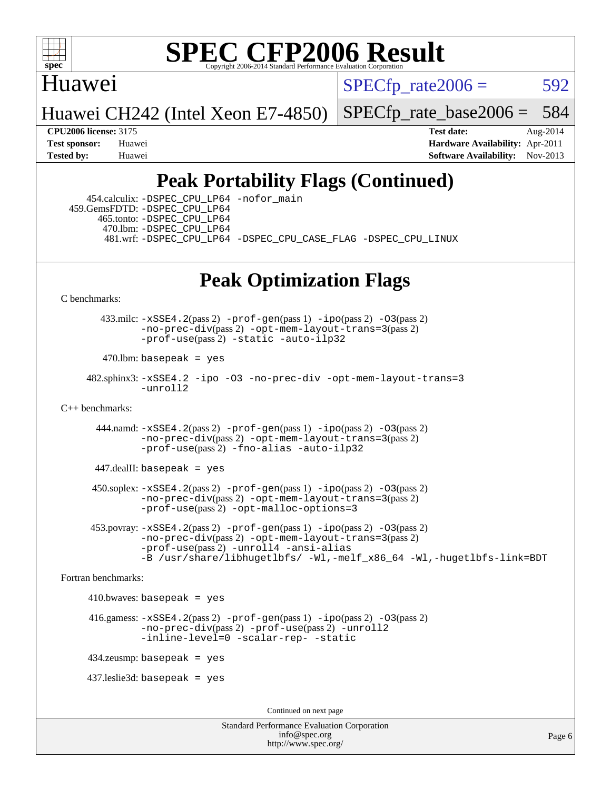

### Huawei

 $SPECTp\_rate2006 = 592$ 

Huawei CH242 (Intel Xeon E7-4850)

 $SPECTp\_rate\_base2006 = 584$ 

**[CPU2006 license:](http://www.spec.org/auto/cpu2006/Docs/result-fields.html#CPU2006license)** 3175 **[Test date:](http://www.spec.org/auto/cpu2006/Docs/result-fields.html#Testdate)** Aug-2014 **[Test sponsor:](http://www.spec.org/auto/cpu2006/Docs/result-fields.html#Testsponsor)** Huawei **[Hardware Availability:](http://www.spec.org/auto/cpu2006/Docs/result-fields.html#HardwareAvailability)** Apr-2011 **[Tested by:](http://www.spec.org/auto/cpu2006/Docs/result-fields.html#Testedby)** Huawei **[Software Availability:](http://www.spec.org/auto/cpu2006/Docs/result-fields.html#SoftwareAvailability)** Nov-2013

### **[Peak Portability Flags \(Continued\)](http://www.spec.org/auto/cpu2006/Docs/result-fields.html#PeakPortabilityFlags)**

 454.calculix: [-DSPEC\\_CPU\\_LP64](http://www.spec.org/cpu2006/results/res2014q3/cpu2006-20140903-31176.flags.html#suite_peakPORTABILITY454_calculix_DSPEC_CPU_LP64) [-nofor\\_main](http://www.spec.org/cpu2006/results/res2014q3/cpu2006-20140903-31176.flags.html#user_peakLDPORTABILITY454_calculix_f-nofor_main) 459.GemsFDTD: [-DSPEC\\_CPU\\_LP64](http://www.spec.org/cpu2006/results/res2014q3/cpu2006-20140903-31176.flags.html#suite_peakPORTABILITY459_GemsFDTD_DSPEC_CPU_LP64) 465.tonto: [-DSPEC\\_CPU\\_LP64](http://www.spec.org/cpu2006/results/res2014q3/cpu2006-20140903-31176.flags.html#suite_peakPORTABILITY465_tonto_DSPEC_CPU_LP64) 470.lbm: [-DSPEC\\_CPU\\_LP64](http://www.spec.org/cpu2006/results/res2014q3/cpu2006-20140903-31176.flags.html#suite_peakPORTABILITY470_lbm_DSPEC_CPU_LP64) 481.wrf: [-DSPEC\\_CPU\\_LP64](http://www.spec.org/cpu2006/results/res2014q3/cpu2006-20140903-31176.flags.html#suite_peakPORTABILITY481_wrf_DSPEC_CPU_LP64) [-DSPEC\\_CPU\\_CASE\\_FLAG](http://www.spec.org/cpu2006/results/res2014q3/cpu2006-20140903-31176.flags.html#b481.wrf_peakCPORTABILITY_DSPEC_CPU_CASE_FLAG) [-DSPEC\\_CPU\\_LINUX](http://www.spec.org/cpu2006/results/res2014q3/cpu2006-20140903-31176.flags.html#b481.wrf_peakCPORTABILITY_DSPEC_CPU_LINUX)

### **[Peak Optimization Flags](http://www.spec.org/auto/cpu2006/Docs/result-fields.html#PeakOptimizationFlags)**

[C benchmarks](http://www.spec.org/auto/cpu2006/Docs/result-fields.html#Cbenchmarks):

 $433$ .milc:  $-xSSE4$ .  $2(pass 2)$  [-prof-gen](http://www.spec.org/cpu2006/results/res2014q3/cpu2006-20140903-31176.flags.html#user_peakPASS1_CFLAGSPASS1_LDFLAGS433_milc_prof_gen_e43856698f6ca7b7e442dfd80e94a8fc)(pass 1) [-ipo](http://www.spec.org/cpu2006/results/res2014q3/cpu2006-20140903-31176.flags.html#user_peakPASS2_CFLAGSPASS2_LDFLAGS433_milc_f-ipo)(pass 2) -03(pass 2) [-no-prec-div](http://www.spec.org/cpu2006/results/res2014q3/cpu2006-20140903-31176.flags.html#user_peakPASS2_CFLAGSPASS2_LDFLAGS433_milc_f-no-prec-div)(pass 2) [-opt-mem-layout-trans=3](http://www.spec.org/cpu2006/results/res2014q3/cpu2006-20140903-31176.flags.html#user_peakPASS2_CFLAGS433_milc_f-opt-mem-layout-trans_a7b82ad4bd7abf52556d4961a2ae94d5)(pass 2) [-prof-use](http://www.spec.org/cpu2006/results/res2014q3/cpu2006-20140903-31176.flags.html#user_peakPASS2_CFLAGSPASS2_LDFLAGS433_milc_prof_use_bccf7792157ff70d64e32fe3e1250b55)(pass 2) [-static](http://www.spec.org/cpu2006/results/res2014q3/cpu2006-20140903-31176.flags.html#user_peakOPTIMIZE433_milc_f-static) [-auto-ilp32](http://www.spec.org/cpu2006/results/res2014q3/cpu2006-20140903-31176.flags.html#user_peakCOPTIMIZE433_milc_f-auto-ilp32)

 $470$ .lbm: basepeak = yes

```
 482.sphinx3: -xSSE4.2 -ipo -O3 -no-prec-div -opt-mem-layout-trans=3
         -unroll2
```
[C++ benchmarks:](http://www.spec.org/auto/cpu2006/Docs/result-fields.html#CXXbenchmarks)

 444.namd: [-xSSE4.2](http://www.spec.org/cpu2006/results/res2014q3/cpu2006-20140903-31176.flags.html#user_peakPASS2_CXXFLAGSPASS2_LDFLAGS444_namd_f-xSSE42_f91528193cf0b216347adb8b939d4107)(pass 2) [-prof-gen](http://www.spec.org/cpu2006/results/res2014q3/cpu2006-20140903-31176.flags.html#user_peakPASS1_CXXFLAGSPASS1_LDFLAGS444_namd_prof_gen_e43856698f6ca7b7e442dfd80e94a8fc)(pass 1) [-ipo](http://www.spec.org/cpu2006/results/res2014q3/cpu2006-20140903-31176.flags.html#user_peakPASS2_CXXFLAGSPASS2_LDFLAGS444_namd_f-ipo)(pass 2) [-O3](http://www.spec.org/cpu2006/results/res2014q3/cpu2006-20140903-31176.flags.html#user_peakPASS2_CXXFLAGSPASS2_LDFLAGS444_namd_f-O3)(pass 2) [-no-prec-div](http://www.spec.org/cpu2006/results/res2014q3/cpu2006-20140903-31176.flags.html#user_peakPASS2_CXXFLAGSPASS2_LDFLAGS444_namd_f-no-prec-div)(pass 2) [-opt-mem-layout-trans=3](http://www.spec.org/cpu2006/results/res2014q3/cpu2006-20140903-31176.flags.html#user_peakPASS2_CXXFLAGS444_namd_f-opt-mem-layout-trans_a7b82ad4bd7abf52556d4961a2ae94d5)(pass 2) [-prof-use](http://www.spec.org/cpu2006/results/res2014q3/cpu2006-20140903-31176.flags.html#user_peakPASS2_CXXFLAGSPASS2_LDFLAGS444_namd_prof_use_bccf7792157ff70d64e32fe3e1250b55)(pass 2) [-fno-alias](http://www.spec.org/cpu2006/results/res2014q3/cpu2006-20140903-31176.flags.html#user_peakCXXOPTIMIZE444_namd_f-no-alias_694e77f6c5a51e658e82ccff53a9e63a) [-auto-ilp32](http://www.spec.org/cpu2006/results/res2014q3/cpu2006-20140903-31176.flags.html#user_peakCXXOPTIMIZE444_namd_f-auto-ilp32)

 $447$ .dealII: basepeak = yes

 450.soplex: [-xSSE4.2](http://www.spec.org/cpu2006/results/res2014q3/cpu2006-20140903-31176.flags.html#user_peakPASS2_CXXFLAGSPASS2_LDFLAGS450_soplex_f-xSSE42_f91528193cf0b216347adb8b939d4107)(pass 2) [-prof-gen](http://www.spec.org/cpu2006/results/res2014q3/cpu2006-20140903-31176.flags.html#user_peakPASS1_CXXFLAGSPASS1_LDFLAGS450_soplex_prof_gen_e43856698f6ca7b7e442dfd80e94a8fc)(pass 1) [-ipo](http://www.spec.org/cpu2006/results/res2014q3/cpu2006-20140903-31176.flags.html#user_peakPASS2_CXXFLAGSPASS2_LDFLAGS450_soplex_f-ipo)(pass 2) [-O3](http://www.spec.org/cpu2006/results/res2014q3/cpu2006-20140903-31176.flags.html#user_peakPASS2_CXXFLAGSPASS2_LDFLAGS450_soplex_f-O3)(pass 2) [-no-prec-div](http://www.spec.org/cpu2006/results/res2014q3/cpu2006-20140903-31176.flags.html#user_peakPASS2_CXXFLAGSPASS2_LDFLAGS450_soplex_f-no-prec-div)(pass 2) [-opt-mem-layout-trans=3](http://www.spec.org/cpu2006/results/res2014q3/cpu2006-20140903-31176.flags.html#user_peakPASS2_CXXFLAGS450_soplex_f-opt-mem-layout-trans_a7b82ad4bd7abf52556d4961a2ae94d5)(pass 2) [-prof-use](http://www.spec.org/cpu2006/results/res2014q3/cpu2006-20140903-31176.flags.html#user_peakPASS2_CXXFLAGSPASS2_LDFLAGS450_soplex_prof_use_bccf7792157ff70d64e32fe3e1250b55)(pass 2) [-opt-malloc-options=3](http://www.spec.org/cpu2006/results/res2014q3/cpu2006-20140903-31176.flags.html#user_peakOPTIMIZE450_soplex_f-opt-malloc-options_13ab9b803cf986b4ee62f0a5998c2238)

453.povray:  $-xSSE4$ . 2(pass 2)  $-prof-gen(pass 1) -ipo(pass 2) -O3(pass 2)$  $-prof-gen(pass 1) -ipo(pass 2) -O3(pass 2)$  $-prof-gen(pass 1) -ipo(pass 2) -O3(pass 2)$  $-prof-gen(pass 1) -ipo(pass 2) -O3(pass 2)$  $-prof-gen(pass 1) -ipo(pass 2) -O3(pass 2)$  $-prof-gen(pass 1) -ipo(pass 2) -O3(pass 2)$ [-no-prec-div](http://www.spec.org/cpu2006/results/res2014q3/cpu2006-20140903-31176.flags.html#user_peakPASS2_CXXFLAGSPASS2_LDFLAGS453_povray_f-no-prec-div)(pass 2) [-opt-mem-layout-trans=3](http://www.spec.org/cpu2006/results/res2014q3/cpu2006-20140903-31176.flags.html#user_peakPASS2_CXXFLAGS453_povray_f-opt-mem-layout-trans_a7b82ad4bd7abf52556d4961a2ae94d5)(pass 2) [-prof-use](http://www.spec.org/cpu2006/results/res2014q3/cpu2006-20140903-31176.flags.html#user_peakPASS2_CXXFLAGSPASS2_LDFLAGS453_povray_prof_use_bccf7792157ff70d64e32fe3e1250b55)(pass 2) [-unroll4](http://www.spec.org/cpu2006/results/res2014q3/cpu2006-20140903-31176.flags.html#user_peakCXXOPTIMIZE453_povray_f-unroll_4e5e4ed65b7fd20bdcd365bec371b81f) [-ansi-alias](http://www.spec.org/cpu2006/results/res2014q3/cpu2006-20140903-31176.flags.html#user_peakCXXOPTIMIZE453_povray_f-ansi-alias) [-B /usr/share/libhugetlbfs/ -Wl,-melf\\_x86\\_64 -Wl,-hugetlbfs-link=BDT](http://www.spec.org/cpu2006/results/res2014q3/cpu2006-20140903-31176.flags.html#user_peakPASS1_LDOPTPASS2_LDOPT453_povray_link_for_large_pages_64bit_fe1717234df9d3a8c8833ff77218828e)

[Fortran benchmarks](http://www.spec.org/auto/cpu2006/Docs/result-fields.html#Fortranbenchmarks):

 $410.bwaves: basepeak = yes$ 

416.gamess:  $-xSSE4$ . 2(pass 2)  $-prof-gen(pass 1) -ipo(pass 2) -O3(pass 2)$  $-prof-gen(pass 1) -ipo(pass 2) -O3(pass 2)$  $-prof-gen(pass 1) -ipo(pass 2) -O3(pass 2)$  $-prof-gen(pass 1) -ipo(pass 2) -O3(pass 2)$  $-prof-gen(pass 1) -ipo(pass 2) -O3(pass 2)$  $-prof-gen(pass 1) -ipo(pass 2) -O3(pass 2)$  $-$ no-prec-div(pass 2) [-prof-use](http://www.spec.org/cpu2006/results/res2014q3/cpu2006-20140903-31176.flags.html#user_peakPASS2_FFLAGSPASS2_LDFLAGS416_gamess_prof_use_bccf7792157ff70d64e32fe3e1250b55)(pass 2) [-unroll2](http://www.spec.org/cpu2006/results/res2014q3/cpu2006-20140903-31176.flags.html#user_peakOPTIMIZE416_gamess_f-unroll_784dae83bebfb236979b41d2422d7ec2) [-inline-level=0](http://www.spec.org/cpu2006/results/res2014q3/cpu2006-20140903-31176.flags.html#user_peakOPTIMIZE416_gamess_f-inline-level_318d07a09274ad25e8d15dbfaa68ba50) [-scalar-rep-](http://www.spec.org/cpu2006/results/res2014q3/cpu2006-20140903-31176.flags.html#user_peakOPTIMIZE416_gamess_f-disablescalarrep_abbcad04450fb118e4809c81d83c8a1d) [-static](http://www.spec.org/cpu2006/results/res2014q3/cpu2006-20140903-31176.flags.html#user_peakOPTIMIZE416_gamess_f-static)

434.zeusmp: basepeak = yes

437.leslie3d: basepeak = yes

Continued on next page

Standard Performance Evaluation Corporation [info@spec.org](mailto:info@spec.org) <http://www.spec.org/>